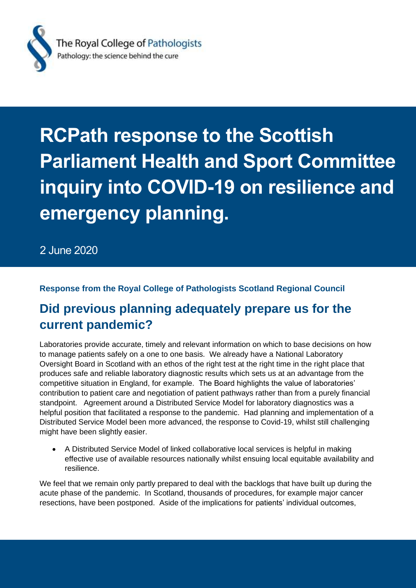

# **RCPath response to the Scottish Parliament Health and Sport Committee inquiry into COVID-19 on resilience and emergency planning.**

2 June 2020

### **Response from the Royal College of Pathologists Scotland Regional Council**

### **Did previous planning adequately prepare us for the current pandemic?**

Laboratories provide accurate, timely and relevant information on which to base decisions on how to manage patients safely on a one to one basis. We already have a National Laboratory Oversight Board in Scotland with an ethos of the right test at the right time in the right place that produces safe and reliable laboratory diagnostic results which sets us at an advantage from the competitive situation in England, for example. The Board highlights the value of laboratories' contribution to patient care and negotiation of patient pathways rather than from a purely financial standpoint. Agreement around a Distributed Service Model for laboratory diagnostics was a helpful position that facilitated a response to the pandemic. Had planning and implementation of a Distributed Service Model been more advanced, the response to Covid-19, whilst still challenging might have been slightly easier.

• A Distributed Service Model of linked collaborative local services is helpful in making effective use of available resources nationally whilst ensuing local equitable availability and resilience.

We feel that we remain only partly prepared to deal with the backlogs that have built up during the acute phase of the pandemic. In Scotland, thousands of procedures, for example major cancer resections, have been postponed. Aside of the implications for patients' individual outcomes,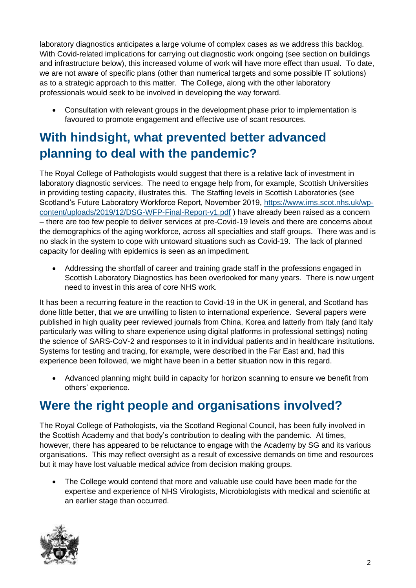laboratory diagnostics anticipates a large volume of complex cases as we address this backlog. With Covid-related implications for carrying out diagnostic work ongoing (see section on buildings and infrastructure below), this increased volume of work will have more effect than usual. To date, we are not aware of specific plans (other than numerical targets and some possible IT solutions) as to a strategic approach to this matter. The College, along with the other laboratory professionals would seek to be involved in developing the way forward.

• Consultation with relevant groups in the development phase prior to implementation is favoured to promote engagement and effective use of scant resources.

### **With hindsight, what prevented better advanced planning to deal with the pandemic?**

The Royal College of Pathologists would suggest that there is a relative lack of investment in laboratory diagnostic services. The need to engage help from, for example, Scottish Universities in providing testing capacity, illustrates this. The Staffing levels in Scottish Laboratories (see Scotland's Future Laboratory Workforce Report, November 2019, [https://www.ims.scot.nhs.uk/wp](https://www.ims.scot.nhs.uk/wp-content/uploads/2019/12/DSG-WFP-Final-Report-v1.pdf)[content/uploads/2019/12/DSG-WFP-Final-Report-v1.pdf](https://www.ims.scot.nhs.uk/wp-content/uploads/2019/12/DSG-WFP-Final-Report-v1.pdf) ) have already been raised as a concern – there are too few people to deliver services at pre-Covid-19 levels and there are concerns about the demographics of the aging workforce, across all specialties and staff groups. There was and is no slack in the system to cope with untoward situations such as Covid-19. The lack of planned capacity for dealing with epidemics is seen as an impediment.

• Addressing the shortfall of career and training grade staff in the professions engaged in Scottish Laboratory Diagnostics has been overlooked for many years. There is now urgent need to invest in this area of core NHS work.

It has been a recurring feature in the reaction to Covid-19 in the UK in general, and Scotland has done little better, that we are unwilling to listen to international experience. Several papers were published in high quality peer reviewed journals from China, Korea and latterly from Italy (and Italy particularly was willing to share experience using digital platforms in professional settings) noting the science of SARS-CoV-2 and responses to it in individual patients and in healthcare institutions. Systems for testing and tracing, for example, were described in the Far East and, had this experience been followed, we might have been in a better situation now in this regard.

• Advanced planning might build in capacity for horizon scanning to ensure we benefit from others' experience.

## **Were the right people and organisations involved?**

The Royal College of Pathologists, via the Scotland Regional Council, has been fully involved in the Scottish Academy and that body's contribution to dealing with the pandemic. At times, however, there has appeared to be reluctance to engage with the Academy by SG and its various organisations. This may reflect oversight as a result of excessive demands on time and resources but it may have lost valuable medical advice from decision making groups.

• The College would contend that more and valuable use could have been made for the expertise and experience of NHS Virologists, Microbiologists with medical and scientific at an earlier stage than occurred.

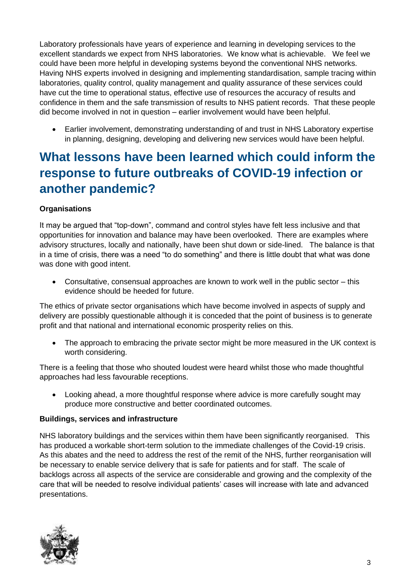Laboratory professionals have years of experience and learning in developing services to the excellent standards we expect from NHS laboratories. We know what is achievable. We feel we could have been more helpful in developing systems beyond the conventional NHS networks. Having NHS experts involved in designing and implementing standardisation, sample tracing within laboratories, quality control, quality management and quality assurance of these services could have cut the time to operational status, effective use of resources the accuracy of results and confidence in them and the safe transmission of results to NHS patient records. That these people did become involved in not in question – earlier involvement would have been helpful.

• Earlier involvement, demonstrating understanding of and trust in NHS Laboratory expertise in planning, designing, developing and delivering new services would have been helpful.

## **What lessons have been learned which could inform the response to future outbreaks of COVID-19 infection or another pandemic?**

#### **Organisations**

It may be argued that "top-down", command and control styles have felt less inclusive and that opportunities for innovation and balance may have been overlooked. There are examples where advisory structures, locally and nationally, have been shut down or side-lined. The balance is that in a time of crisis, there was a need "to do something" and there is little doubt that what was done was done with good intent.

• Consultative, consensual approaches are known to work well in the public sector – this evidence should be heeded for future.

The ethics of private sector organisations which have become involved in aspects of supply and delivery are possibly questionable although it is conceded that the point of business is to generate profit and that national and international economic prosperity relies on this.

The approach to embracing the private sector might be more measured in the UK context is worth considering.

There is a feeling that those who shouted loudest were heard whilst those who made thoughtful approaches had less favourable receptions.

• Looking ahead, a more thoughtful response where advice is more carefully sought may produce more constructive and better coordinated outcomes.

#### **Buildings, services and infrastructure**

NHS laboratory buildings and the services within them have been significantly reorganised. This has produced a workable short-term solution to the immediate challenges of the Covid-19 crisis. As this abates and the need to address the rest of the remit of the NHS, further reorganisation will be necessary to enable service delivery that is safe for patients and for staff. The scale of backlogs across all aspects of the service are considerable and growing and the complexity of the care that will be needed to resolve individual patients' cases will increase with late and advanced presentations.

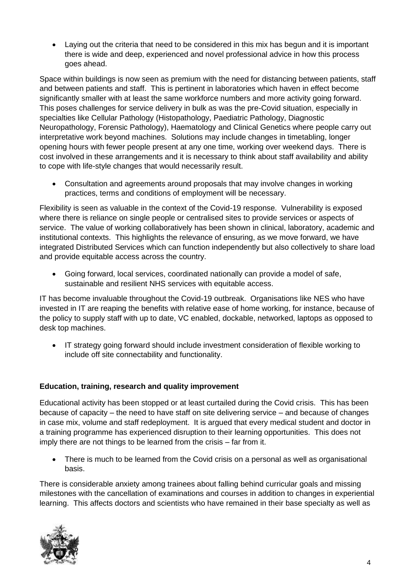• Laying out the criteria that need to be considered in this mix has begun and it is important there is wide and deep, experienced and novel professional advice in how this process goes ahead.

Space within buildings is now seen as premium with the need for distancing between patients, staff and between patients and staff. This is pertinent in laboratories which haven in effect become significantly smaller with at least the same workforce numbers and more activity going forward. This poses challenges for service delivery in bulk as was the pre-Covid situation, especially in specialties like Cellular Pathology (Histopathology, Paediatric Pathology, Diagnostic Neuropathology, Forensic Pathology), Haematology and Clinical Genetics where people carry out interpretative work beyond machines. Solutions may include changes in timetabling, longer opening hours with fewer people present at any one time, working over weekend days. There is cost involved in these arrangements and it is necessary to think about staff availability and ability to cope with life-style changes that would necessarily result.

• Consultation and agreements around proposals that may involve changes in working practices, terms and conditions of employment will be necessary.

Flexibility is seen as valuable in the context of the Covid-19 response. Vulnerability is exposed where there is reliance on single people or centralised sites to provide services or aspects of service. The value of working collaboratively has been shown in clinical, laboratory, academic and institutional contexts. This highlights the relevance of ensuring, as we move forward, we have integrated Distributed Services which can function independently but also collectively to share load and provide equitable access across the country.

• Going forward, local services, coordinated nationally can provide a model of safe, sustainable and resilient NHS services with equitable access.

IT has become invaluable throughout the Covid-19 outbreak. Organisations like NES who have invested in IT are reaping the benefits with relative ease of home working, for instance, because of the policy to supply staff with up to date, VC enabled, dockable, networked, laptops as opposed to desk top machines.

• IT strategy going forward should include investment consideration of flexible working to include off site connectability and functionality.

#### **Education, training, research and quality improvement**

Educational activity has been stopped or at least curtailed during the Covid crisis. This has been because of capacity – the need to have staff on site delivering service – and because of changes in case mix, volume and staff redeployment. It is argued that every medical student and doctor in a training programme has experienced disruption to their learning opportunities. This does not imply there are not things to be learned from the crisis – far from it.

• There is much to be learned from the Covid crisis on a personal as well as organisational basis.

There is considerable anxiety among trainees about falling behind curricular goals and missing milestones with the cancellation of examinations and courses in addition to changes in experiential learning. This affects doctors and scientists who have remained in their base specialty as well as

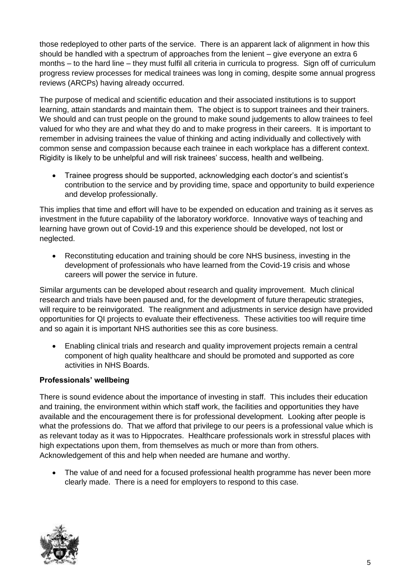those redeployed to other parts of the service. There is an apparent lack of alignment in how this should be handled with a spectrum of approaches from the lenient – give everyone an extra 6 months – to the hard line – they must fulfil all criteria in curricula to progress. Sign off of curriculum progress review processes for medical trainees was long in coming, despite some annual progress reviews (ARCPs) having already occurred.

The purpose of medical and scientific education and their associated institutions is to support learning, attain standards and maintain them. The object is to support trainees and their trainers. We should and can trust people on the ground to make sound judgements to allow trainees to feel valued for who they are and what they do and to make progress in their careers. It is important to remember in advising trainees the value of thinking and acting individually and collectively with common sense and compassion because each trainee in each workplace has a different context. Rigidity is likely to be unhelpful and will risk trainees' success, health and wellbeing.

• Trainee progress should be supported, acknowledging each doctor's and scientist's contribution to the service and by providing time, space and opportunity to build experience and develop professionally.

This implies that time and effort will have to be expended on education and training as it serves as investment in the future capability of the laboratory workforce. Innovative ways of teaching and learning have grown out of Covid-19 and this experience should be developed, not lost or neglected.

• Reconstituting education and training should be core NHS business, investing in the development of professionals who have learned from the Covid-19 crisis and whose careers will power the service in future.

Similar arguments can be developed about research and quality improvement. Much clinical research and trials have been paused and, for the development of future therapeutic strategies, will require to be reinvigorated. The realignment and adjustments in service design have provided opportunities for QI projects to evaluate their effectiveness. These activities too will require time and so again it is important NHS authorities see this as core business.

• Enabling clinical trials and research and quality improvement projects remain a central component of high quality healthcare and should be promoted and supported as core activities in NHS Boards.

#### **Professionals' wellbeing**

There is sound evidence about the importance of investing in staff. This includes their education and training, the environment within which staff work, the facilities and opportunities they have available and the encouragement there is for professional development. Looking after people is what the professions do. That we afford that privilege to our peers is a professional value which is as relevant today as it was to Hippocrates. Healthcare professionals work in stressful places with high expectations upon them, from themselves as much or more than from others. Acknowledgement of this and help when needed are humane and worthy.

• The value of and need for a focused professional health programme has never been more clearly made. There is a need for employers to respond to this case.